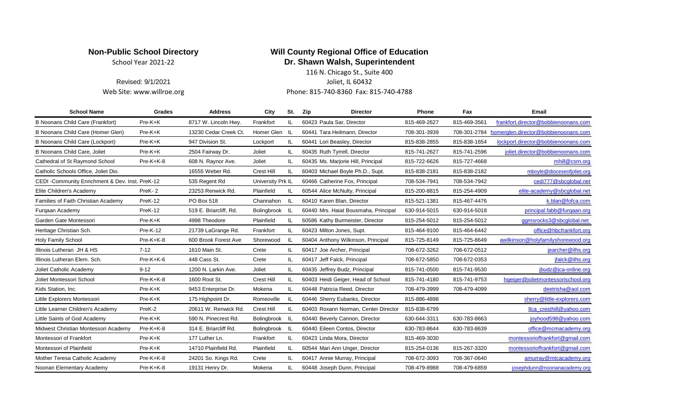## **Non-Public School Directory Will County Regional Office of Education** School Year 2021-22 **Dr. Shawn Walsh, Superintendent**

Revised: 9/1/2021 **Ioliet, IL 60432** Web Site: www.willroe.org entitled as a set of the Phone: 815-740-8360 Fax: 815-740-4788 116 N. Chicago St., Suite 400

| <b>School Name</b>                               | Grades      | <b>Address</b>         | City              | St. | Zip<br><b>Director</b>               | <b>Phone</b> | Fax          | Email                                |
|--------------------------------------------------|-------------|------------------------|-------------------|-----|--------------------------------------|--------------|--------------|--------------------------------------|
| <b>B Noonans Child Care (Frankfort)</b>          | Pre-K+K     | 8717 W. Lincoln Hwy.   | Frankfort         | IL. | 60423 Paula Sar, Director            | 815-469-2627 | 815-469-3561 | frankfort.director@bobbienoonans.com |
| B Noonans Child Care (Homer Glen)                | Pre-K+K     | 13230 Cedar Creek Ct.  | Homer Glen IL     |     | 60441 Tara Heilmann, Director        | 708-301-3939 | 708-301-2784 | homerglen.director@bobbienoonans.com |
| B Noonans Child Care (Lockport)                  | Pre-K+K     | 947 Division St.       | Lockport          | IL. | 60441 Lori Beasley, Director         | 815-838-2855 | 815-838-1654 | lockport.director@bobbienoonans.com  |
| <b>B Noonans Child Care, Joliet</b>              | Pre-K+K     | 2504 Fairway Dr.       | Joliet            | IL. | 60435 Ruth Tyrrell, Director         | 815-741-2627 | 815-741-2596 | joliet.director@bobbienoonans.com    |
| Cathedral of St Raymond School                   | Pre-K+K-8   | 608 N. Raynor Ave.     | Joliet            | IL. | 60435 Ms. Marjorie Hill, Principal   | 815-722-6626 | 815-727-4668 | mhill@csrn.org                       |
| Catholic Schools Office, Joliet Dio.             |             | 16555 Weber Rd.        | <b>Crest Hill</b> | IL  | 60403 Michael Boyle Ph.D., Supt.     | 815-838-2181 | 815-838-2182 | mboyle@dioceseofjoliet.org           |
| CEDI - Community Enrichment & Dev. Inst. PreK-12 |             | 535 Regent Rd          | University Prk IL |     | 60466 Catherine Fox, Principal       | 708-534-7941 | 708-534-7942 | cedi777@sbcglobal.net                |
| Elite Children's Academy                         | PreK-2      | 23253 Renwick Rd.      | Plainfield        | IL. | 60544 Alice McNulty, Principal       | 815-200-8815 | 815-254-4909 | elite-academy@sbcqlobal.net          |
| Families of Faith Christian Academy              | PreK-12     | PO Box 518             | Channahon         | IL. | 60410 Karen Blan, Director           | 815-521-1381 | 815-467-4476 | k.blan@fofca.com                     |
| Furgaan Academy                                  | PreK-12     | 519 E. Briarcliff, Rd. | Bolingbrook IL    |     | 60440 Mrs. Haiat Bousmaha, Principal | 630-914-5015 | 630-914-5018 | principal.fabb@furgaan.org           |
| Garden Gate Montessori                           | Pre-K+K     | 4998 Theodore          | Plainfield        | IL. | 60586 Kathy Burmeister, Director     | 815-254-5012 | 815-254-5012 | ggmsrocks3@sbcglobal.net             |
| Heritage Christian Sch.                          | $Pre-K-12$  | 21739 LaGrange Rd.     | Frankfort         | IL. | 60423 Milton Jones, Supt.            | 815-464-9100 | 815-464-6442 | office@hbcfrankfort.org              |
| <b>Holy Family School</b>                        | Pre-K+K-8   | 600 Brook Forest Ave   | Shorewood         | -lL | 60404 Anthony Wilkinson, Principal   | 815-725-8149 | 815-725-8649 | awilkinson@holyfamilyshorewood.org   |
| Illinois Lutheran JH & HS                        | $7 - 12$    | 1610 Main St.          | Crete             | IL. | 60417 Joe Archer, Principal          | 708-672-3262 | 708-672-0512 | jearcher@ilhs.org                    |
| Illinois Lutheran Elem. Sch.                     | $Pre-K+K-6$ | 448 Cass St.           | Crete             | IL. | 60417 Jeff Falck, Principal          | 708-672-5850 | 708-672-0353 | jfalck@ilhs.org                      |
| Joliet Catholic Academy                          | $9 - 12$    | 1200 N. Larkin Ave.    | Joliet            | IL. | 60435 Jeffrey Budz, Principal        | 815-741-0500 | 815-741-9530 | jbudz@jca-online.org                 |
| Joliet Montessori School                         | Pre-K+K-8   | 1600 Root St.          | <b>Crest Hill</b> | IL. | 60403 Heidi Geiger, Head of School   | 815-741-4180 | 815-741-9753 | hgeiger@jolietmontessorischool.org   |
| Kids Station, Inc.                               | Pre-K+K     | 9453 Enterprise Dr.    | Mokena            | IL. | 60448 Patricia Reed, Director        | 708-479-3999 | 708-479-4099 | deetrisha@aol.com                    |
| Little Explorers Montessori                      | Pre-K+K     | 175 Highpoint Dr.      | Romeoville        | IL. | 60446 Sherry Eubanks, Director       | 815-886-4898 |              | sherry@little-explorers.com          |
| Little Learner Children's Academy                | PreK-2      | 20611 W. Renwick Rd.   | <b>Crest Hill</b> | IL. | 60403 Roxann Norman, Center Director | 815-838-6799 |              | llca_cresthill@yahoo.com             |
| Little Saints of God Academy                     | Pre-K+K     | 590 N. Pinecrest Rd.   | Bolingbrook IL    |     | 60440 Beverly Cannon, Director       | 630-644-3311 | 630-783-8663 | joyhood598@yahoo.com                 |
| Midwest Christian Montessori Academy             | $Pre-K+K-8$ | 314 E. Briarcliff Rd.  | Bolingbrook IL    |     | 60440 Eileen Contos, Director        | 630-783-8644 | 630-783-8639 | office@mcmacademy.org                |
| Montessori of Frankfort                          | Pre-K+K     | 177 Luther Ln.         | Frankfort         | IL. | 60423 Linda Mora, Director           | 815-469-3030 |              | montessorioffrankfort@gmail.com      |
| Montessori of Plainfield                         | $Pre-K+K$   | 14710 Plainfield Rd.   | Plainfield        | IL. | 60544 Mari Ann Unger, Director       | 815-254-0136 | 815-267-3320 | montessorioffrankfort@gmail.com      |
| Mother Teresa Catholic Academy                   | Pre-K+K-8   | 24201 So. Kings Rd.    | Crete             | IL. | 60417 Annie Murray, Principal        | 708-672-3093 | 708-367-0640 | amurray@mtcacademy.org               |
| Noonan Elementary Academy                        | $Pre-K+K-8$ | 19131 Henry Dr.        | Mokena            | IL. | 60448 Joseph Dunn, Principal         | 708-479-8988 | 708-479-6859 | josephdunn@noonanacademy.org         |